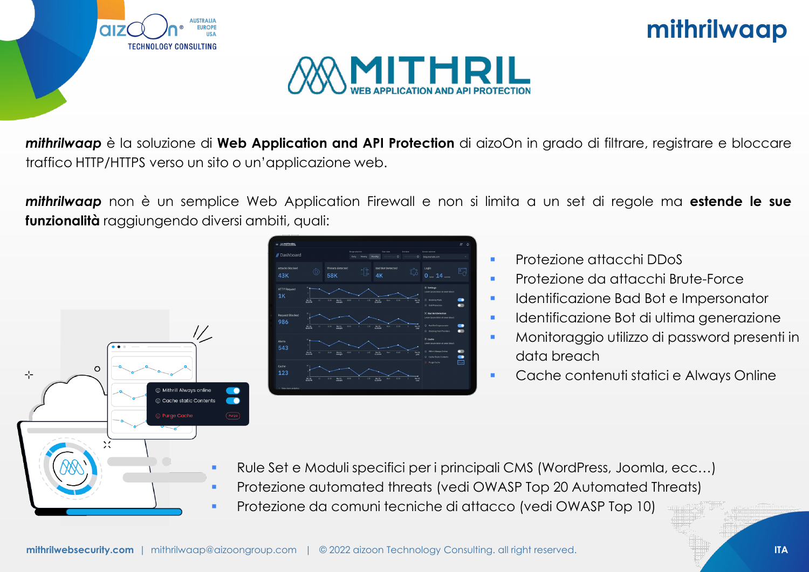





*mithrilwaap* è la soluzione di **Web Application and API Protection** di aizoOn in grado di filtrare, registrare e bloccare traffico HTTP/HTTPS verso un sito o un'applicazione web.

*mithrilwaap* non è un semplice Web Application Firewall e non si limita a un set di regole ma **estende le sue funzionalità** raggiungendo diversi ambiti, quali:





- **•** Protezione attacchi DDoS
- **Protezione da attacchi Brute-Force**
- **Indentificazione Bad Bot e Impersonator**
- **Interpretional interity of the Urima generazione**
- Monitoraggio utilizzo di password presenti in data breach
- **Cache contenuti statici e Always Online**

- Rule Set e Moduli specifici per i principali CMS (WordPress, Joomla, ecc…) Protezione automated threats (vedi OWASP Top 20 Automated Threats)
- Protezione da comuni tecniche di attacco (vedi OWASP Top 10)